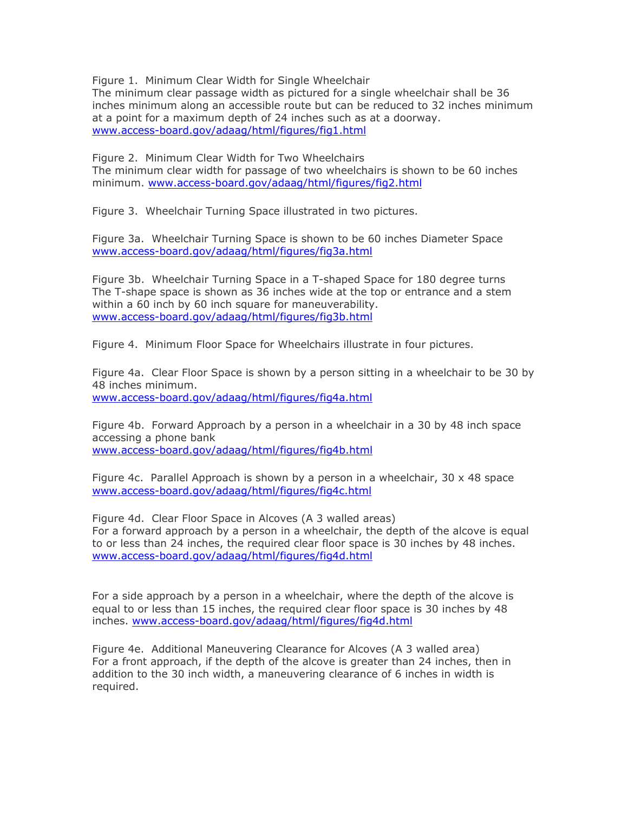Figure 1. Minimum Clear Width for Single Wheelchair

The minimum clear passage width as pictured for a single wheelchair shall be 36 inches minimum along an accessible route but can be reduced to 32 inches minimum at a point for a maximum depth of 24 inches such as at a doorway. [www.access-board.gov/adaag/html/figures/fig1.html](http://www.access-board.gov/adaag/html/figures/fig1.html)

Figure 2. Minimum Clear Width for Two Wheelchairs The minimum clear width for passage of two wheelchairs is shown to be 60 inches minimum. [www.access-board.gov/adaag/html/figures/fig2.html](http://www.access-board.gov/adaag/html/figures/fig2.html)

Figure 3. Wheelchair Turning Space illustrated in two pictures.

Figure 3a. Wheelchair Turning Space is shown to be 60 inches Diameter Space [www.access-board.gov/adaag/html/figures/fig3a.html](http://www.access-board.gov/adaag/html/figures/fig3a.html)

Figure 3b. Wheelchair Turning Space in a T-shaped Space for 180 degree turns The T-shape space is shown as 36 inches wide at the top or entrance and a stem within a 60 inch by 60 inch square for maneuverability. [www.access-board.gov/adaag/html/figures/fig3b.html](http://www.access-board.gov/adaag/html/figures/fig3b.html)

Figure 4. Minimum Floor Space for Wheelchairs illustrate in four pictures.

Figure 4a. Clear Floor Space is shown by a person sitting in a wheelchair to be 30 by 48 inches minimum. [www.access-board.gov/adaag/html/figures/fig4a.html](http://www.access-board.gov/adaag/html/figures/fig4a.html) 

Figure 4b. Forward Approach by a person in a wheelchair in a 30 by 48 inch space accessing a phone bank [www.access-board.gov/adaag/html/figures/fig4b.html](http://www.access-board.gov/adaag/html/figures/fig4b.html)

Figure 4c. Parallel Approach is shown by a person in a wheelchair,  $30 \times 48$  space [www.access-board.gov/adaag/html/figures/fig4c.html](http://www.access-board.gov/adaag/html/figures/fig4c.html)

Figure 4d. Clear Floor Space in Alcoves (A 3 walled areas) For a forward approach by a person in a wheelchair, the depth of the alcove is equal to or less than 24 inches, the required clear floor space is 30 inches by 48 inches. [www.access-board.gov/adaag/html/figures/fig4d.html](http://www.access-board.gov/adaag/html/figures/fig4d.html)

For a side approach by a person in a wheelchair, where the depth of the alcove is equal to or less than 15 inches, the required clear floor space is 30 inches by 48 inches. [www.access-board.gov/adaag/html/figures/fig4d.html](http://www.access-board.gov/adaag/html/figures/fig4d.html)

Figure 4e. Additional Maneuvering Clearance for Alcoves (A 3 walled area) For a front approach, if the depth of the alcove is greater than 24 inches, then in addition to the 30 inch width, a maneuvering clearance of 6 inches in width is required.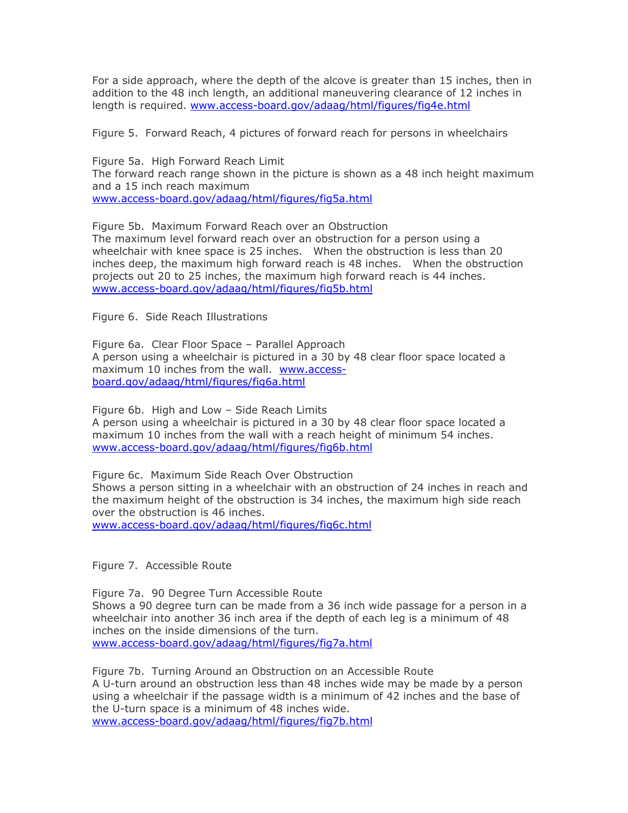For a side approach, where the depth of the alcove is greater than 15 inches, then in addition to the 48 inch length, an additional maneuvering clearance of 12 inches in length is required. [www.access-board.gov/adaag/html/figures/fig4e.html](http://www.access-board.gov/adaag/html/figures/fig4e.html)

Figure 5. Forward Reach, 4 pictures of forward reach for persons in wheelchairs

Figure 5a. High Forward Reach Limit The forward reach range shown in the picture is shown as a 48 inch height maximum and a 15 inch reach maximum [www.access-board.gov/adaag/html/figures/fig5a.html](http://www.access-board.gov/adaag/html/figures/fig5a.html)

Figure 5b. Maximum Forward Reach over an Obstruction The maximum level forward reach over an obstruction for a person using a wheelchair with knee space is 25 inches. When the obstruction is less than 20 inches deep, the maximum high forward reach is 48 inches. When the obstruction projects out 20 to 25 inches, the maximum high forward reach is 44 inches. [www.access-board.gov/adaag/html/figures/fig5b.html](http://www.access-board.gov/adaag/html/figures/fig5b.html)

Figure 6. Side Reach Illustrations

Figure 6a. Clear Floor Space – Parallel Approach A person using a wheelchair is pictured in a 30 by 48 clear floor space located a maximum 10 inches from the wall. [www.access](http://www.access-board.gov/adaag/html/figures/fig6a.html)[board.gov/adaag/html/figures/fig6a.html](http://www.access-board.gov/adaag/html/figures/fig6a.html)

Figure 6b. High and Low – Side Reach Limits A person using a wheelchair is pictured in a 30 by 48 clear floor space located a maximum 10 inches from the wall with a reach height of minimum 54 inches. [www.access-board.gov/adaag/html/figures/fig6b.html](http://www.access-board.gov/adaag/html/figures/fig6b.html)

Figure 6c. Maximum Side Reach Over Obstruction Shows a person sitting in a wheelchair with an obstruction of 24 inches in reach and the maximum height of the obstruction is 34 inches, the maximum high side reach over the obstruction is 46 inches. [www.access-board.gov/adaag/html/figures/fig6c.html](http://www.access-board.gov/adaag/html/figures/fig6c.html)

Figure 7. Accessible Route

Figure 7a. 90 Degree Turn Accessible Route Shows a 90 degree turn can be made from a 36 inch wide passage for a person in a wheelchair into another 36 inch area if the depth of each leg is a minimum of 48 inches on the inside dimensions of the turn. [www.access-board.gov/adaag/html/figures/fig7a.html](http://www.access-board.gov/adaag/html/figures/fig7a.html)

Figure 7b. Turning Around an Obstruction on an Accessible Route A U-turn around an obstruction less than 48 inches wide may be made by a person using a wheelchair if the passage width is a minimum of 42 inches and the base of the U-turn space is a minimum of 48 inches wide. [www.access-board.gov/adaag/html/figures/fig7b.html](http://www.access-board.gov/adaag/html/figures/fig7b.html)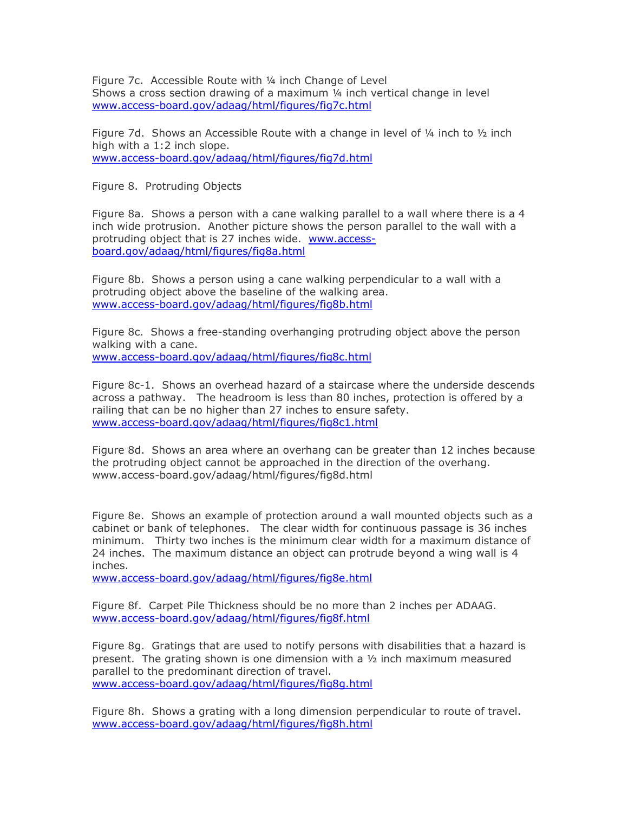Figure 7c. Accessible Route with ¼ inch Change of Level Shows a cross section drawing of a maximum ¼ inch vertical change in level [www.access-board.gov/adaag/html/figures/fig7c.html](http://www.access-board.gov/adaag/html/figures/fig7c.html)

Figure 7d. Shows an Accessible Route with a change in level of  $\frac{1}{4}$  inch to  $\frac{1}{2}$  inch high with a 1:2 inch slope. [www.access-board.gov/adaag/html/figures/fig7d.html](http://www.access-board.gov/adaag/html/figures/fig7d.html)

Figure 8. Protruding Objects

Figure 8a. Shows a person with a cane walking parallel to a wall where there is a 4 inch wide protrusion. Another picture shows the person parallel to the wall with a protruding object that is 27 inches wide. [www.access](http://www.access-board.gov/adaag/html/figures/fig8a.html)[board.gov/adaag/html/figures/fig8a.html](http://www.access-board.gov/adaag/html/figures/fig8a.html)

Figure 8b. Shows a person using a cane walking perpendicular to a wall with a protruding object above the baseline of the walking area. [www.access-board.gov/adaag/html/figures/fig8b.html](http://www.access-board.gov/adaag/html/figures/fig8b.html)

Figure 8c. Shows a free-standing overhanging protruding object above the person walking with a cane. [www.access-board.gov/adaag/html/figures/fig8c.html](http://www.access-board.gov/adaag/html/figures/fig8c.html)

Figure 8c-1. Shows an overhead hazard of a staircase where the underside descends across a pathway. The headroom is less than 80 inches, protection is offered by a railing that can be no higher than 27 inches to ensure safety. [www.access-board.gov/adaag/html/figures/fig8c1.html](http://www.access-board.gov/adaag/html/figures/fig8c1.html)

Figure 8d. Shows an area where an overhang can be greater than 12 inches because the protruding object cannot be approached in the direction of the overhang. [www.access-board.gov/adaag/html/figures/fig8d.html](http://www.access-board.gov/adaag/html/figures/fig8d.html) 

Figure 8e. Shows an example of protection around a wall mounted objects such as a cabinet or bank of telephones. The clear width for continuous passage is 36 inches minimum. Thirty two inches is the minimum clear width for a maximum distance of 24 inches. The maximum distance an object can protrude beyond a wing wall is 4 inches.

[www.access-board.gov/adaag/html/figures/fig8e.html](http://www.access-board.gov/adaag/html/figures/fig8e.html)

Figure 8f. Carpet Pile Thickness should be no more than 2 inches per ADAAG. [www.access-board.gov/adaag/html/figures/fig8f.html](http://www.access-board.gov/adaag/html/figures/fig8f.html)

Figure 8g. Gratings that are used to notify persons with disabilities that a hazard is present. The grating shown is one dimension with a ½ inch maximum measured parallel to the predominant direction of travel. [www.access-board.gov/adaag/html/figures/fig8g.html](http://www.access-board.gov/adaag/html/figures/fig8g.html)

Figure 8h. Shows a grating with a long dimension perpendicular to route of travel. [www.access-board.gov/adaag/html/figures/fig8h.html](http://www.access-board.gov/adaag/html/figures/fig8h.html)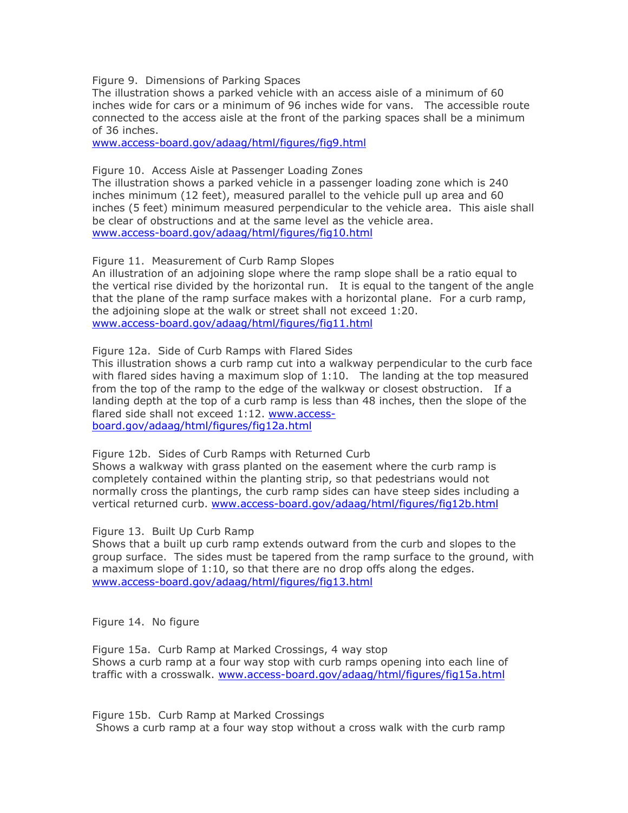Figure 9. Dimensions of Parking Spaces

The illustration shows a parked vehicle with an access aisle of a minimum of 60 inches wide for cars or a minimum of 96 inches wide for vans. The accessible route connected to the access aisle at the front of the parking spaces shall be a minimum of 36 inches.

[www.access-board.gov/adaag/html/figures/fig9.html](http://www.access-board.gov/adaag/html/figures/fig9.html)

Figure 10. Access Aisle at Passenger Loading Zones

The illustration shows a parked vehicle in a passenger loading zone which is 240 inches minimum (12 feet), measured parallel to the vehicle pull up area and 60 inches (5 feet) minimum measured perpendicular to the vehicle area. This aisle shall be clear of obstructions and at the same level as the vehicle area. [www.access-board.gov/adaag/html/figures/fig10.html](http://www.access-board.gov/adaag/html/figures/fig10.html)

Figure 11. Measurement of Curb Ramp Slopes

An illustration of an adjoining slope where the ramp slope shall be a ratio equal to the vertical rise divided by the horizontal run. It is equal to the tangent of the angle that the plane of the ramp surface makes with a horizontal plane. For a curb ramp, the adjoining slope at the walk or street shall not exceed 1:20. [www.access-board.gov/adaag/html/figures/fig11.html](http://www.access-board.gov/adaag/html/figures/fig11.html)

Figure 12a. Side of Curb Ramps with Flared Sides

This illustration shows a curb ramp cut into a walkway perpendicular to the curb face with flared sides having a maximum slop of 1:10. The landing at the top measured from the top of the ramp to the edge of the walkway or closest obstruction. If a landing depth at the top of a curb ramp is less than 48 inches, then the slope of the flared side shall not exceed 1:12. [www.access](http://www.access-board.gov/adaag/html/figures/fig12a.html)[board.gov/adaag/html/figures/fig12a.html](http://www.access-board.gov/adaag/html/figures/fig12a.html)

Figure 12b. Sides of Curb Ramps with Returned Curb

Shows a walkway with grass planted on the easement where the curb ramp is completely contained within the planting strip, so that pedestrians would not normally cross the plantings, the curb ramp sides can have steep sides including a vertical returned curb. [www.access-board.gov/adaag/html/figures/fig12b.html](http://www.access-board.gov/adaag/html/figures/fig12b.html)

Figure 13. Built Up Curb Ramp

Shows that a built up curb ramp extends outward from the curb and slopes to the group surface. The sides must be tapered from the ramp surface to the ground, with a maximum slope of 1:10, so that there are no drop offs along the edges. [www.access-board.gov/adaag/html/figures/fig13.html](http://www.access-board.gov/adaag/html/figures/fig13.html)

Figure 14. No figure

Figure 15a. Curb Ramp at Marked Crossings, 4 way stop Shows a curb ramp at a four way stop with curb ramps opening into each line of traffic with a crosswalk. [www.access-board.gov/adaag/html/figures/fig15a.html](http://www.access-board.gov/adaag/html/figures/fig15a.html)

Figure 15b. Curb Ramp at Marked Crossings Shows a curb ramp at a four way stop without a cross walk with the curb ramp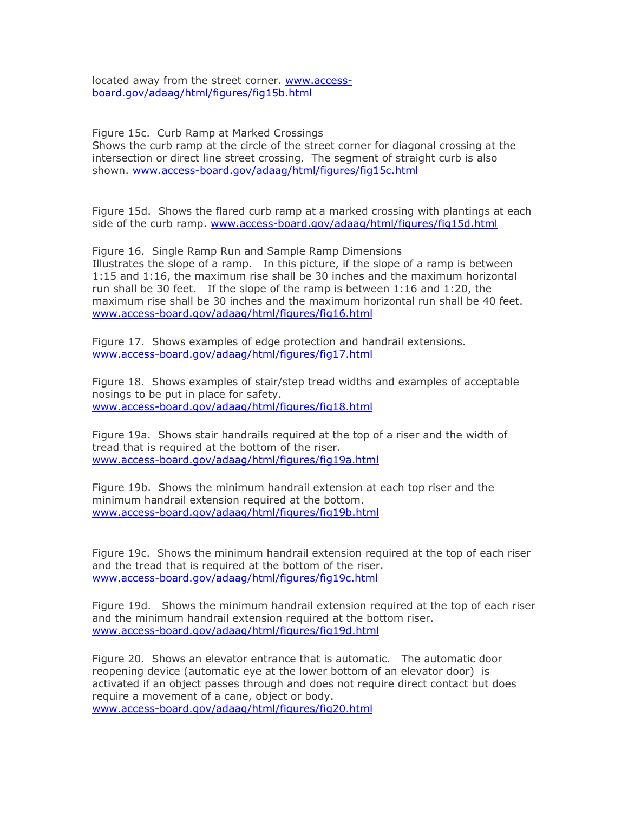located away from the street corner. [www.access](http://www.access-board.gov/adaag/html/figures/fig15b.html)[board.gov/adaag/html/figures/fig15b.html](http://www.access-board.gov/adaag/html/figures/fig15b.html)

Figure 15c. Curb Ramp at Marked Crossings Shows the curb ramp at the circle of the street corner for diagonal crossing at the intersection or direct line street crossing. The segment of straight curb is also shown. [www.access-board.gov/adaag/html/figures/fig15c.html](http://www.access-board.gov/adaag/html/figures/fig15c.html)

Figure 15d. Shows the flared curb ramp at a marked crossing with plantings at each side of the curb ramp. [www.access-board.gov/adaag/html/figures/fig15d.html](http://www.access-board.gov/adaag/html/figures/fig15d.html)

Figure 16. Single Ramp Run and Sample Ramp Dimensions Illustrates the slope of a ramp. In this picture, if the slope of a ramp is between 1:15 and 1:16, the maximum rise shall be 30 inches and the maximum horizontal run shall be 30 feet. If the slope of the ramp is between 1:16 and 1:20, the maximum rise shall be 30 inches and the maximum horizontal run shall be 40 feet. [www.access-board.gov/adaag/html/figures/fig16.html](http://www.access-board.gov/adaag/html/figures/fig16.html)

Figure 17. Shows examples of edge protection and handrail extensions. [www.access-board.gov/adaag/html/figures/fig17.html](http://www.access-board.gov/adaag/html/figures/fig17.html)

Figure 18. Shows examples of stair/step tread widths and examples of acceptable nosings to be put in place for safety. [www.access-board.gov/adaag/html/figures/fig18.html](http://www.access-board.gov/adaag/html/figures/fig18.html)

Figure 19a. Shows stair handrails required at the top of a riser and the width of tread that is required at the bottom of the riser. [www.access-board.gov/adaag/html/figures/fig19a.html](http://www.access-board.gov/adaag/html/figures/fig19a.html)

Figure 19b. Shows the minimum handrail extension at each top riser and the minimum handrail extension required at the bottom. [www.access-board.gov/adaag/html/figures/fig19b.html](http://www.access-board.gov/adaag/html/figures/fig19b.html)

Figure 19c. Shows the minimum handrail extension required at the top of each riser and the tread that is required at the bottom of the riser. [www.access-board.gov/adaag/html/figures/fig19c.html](http://www.access-board.gov/adaag/html/figures/fig19c.html)

Figure 19d. Shows the minimum handrail extension required at the top of each riser and the minimum handrail extension required at the bottom riser. [www.access-board.gov/adaag/html/figures/fig19d.html](http://www.access-board.gov/adaag/html/figures/fig19d.html)

Figure 20. Shows an elevator entrance that is automatic. The automatic door reopening device (automatic eye at the lower bottom of an elevator door) is activated if an object passes through and does not require direct contact but does require a movement of a cane, object or body. [www.access-board.gov/adaag/html/figures/fig20.html](http://www.access-board.gov/adaag/html/figures/fig20.html)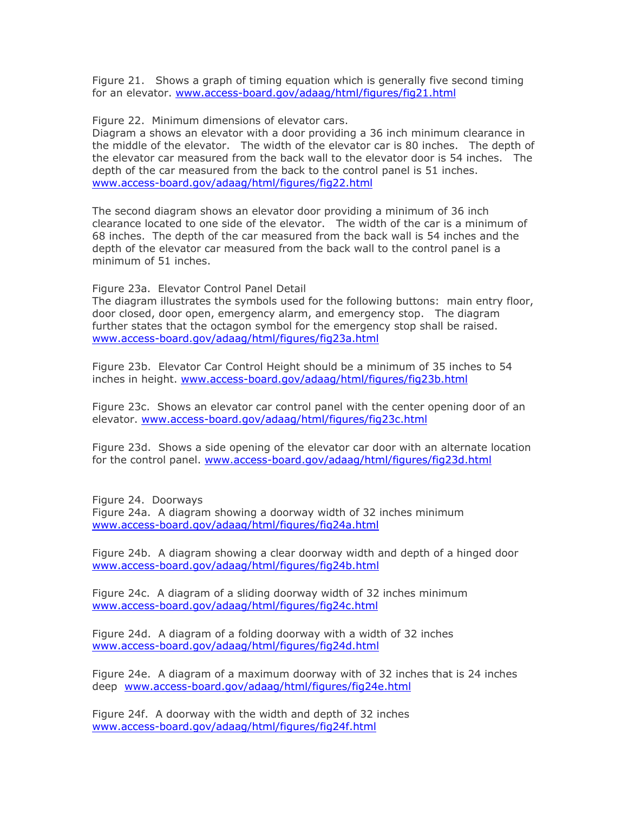Figure 21. Shows a graph of timing equation which is generally five second timing for an elevator. [www.access-board.gov/adaag/html/figures/fig21.html](http://www.access-board.gov/adaag/html/figures/fig21.html)

Figure 22. Minimum dimensions of elevator cars.

Diagram a shows an elevator with a door providing a 36 inch minimum clearance in the middle of the elevator. The width of the elevator car is 80 inches. The depth of the elevator car measured from the back wall to the elevator door is 54 inches. The depth of the car measured from the back to the control panel is 51 inches. [www.access-board.gov/adaag/html/figures/fig22.html](http://www.access-board.gov/adaag/html/figures/fig22.html)

The second diagram shows an elevator door providing a minimum of 36 inch clearance located to one side of the elevator. The width of the car is a minimum of 68 inches. The depth of the car measured from the back wall is 54 inches and the depth of the elevator car measured from the back wall to the control panel is a minimum of 51 inches.

Figure 23a. Elevator Control Panel Detail

The diagram illustrates the symbols used for the following buttons: main entry floor, door closed, door open, emergency alarm, and emergency stop. The diagram further states that the octagon symbol for the emergency stop shall be raised. [www.access-board.gov/adaag/html/figures/fig23a.html](http://www.access-board.gov/adaag/html/figures/fig23a.html)

Figure 23b. Elevator Car Control Height should be a minimum of 35 inches to 54 inches in height. [www.access-board.gov/adaag/html/figures/fig23b.html](http://www.access-board.gov/adaag/html/figures/fig23b.html)

Figure 23c. Shows an elevator car control panel with the center opening door of an elevator. [www.access-board.gov/adaag/html/figures/fig23c.html](http://www.access-board.gov/adaag/html/figures/fig23c.html)

Figure 23d. Shows a side opening of the elevator car door with an alternate location for the control panel. [www.access-board.gov/adaag/html/figures/fig23d.html](http://www.access-board.gov/adaag/html/figures/fig23d.html)

Figure 24. Doorways Figure 24a. A diagram showing a doorway width of 32 inches minimum [www.access-board.gov/adaag/html/figures/fig24a.html](http://www.access-board.gov/adaag/html/figures/fig24a.html)

Figure 24b. A diagram showing a clear doorway width and depth of a hinged door [www.access-board.gov/adaag/html/figures/fig24b.html](http://www.access-board.gov/adaag/html/figures/fig24b.html)

Figure 24c. A diagram of a sliding doorway width of 32 inches minimum [www.access-board.gov/adaag/html/figures/fig24c.html](http://www.access-board.gov/adaag/html/figures/fig24c.html)

Figure 24d. A diagram of a folding doorway with a width of 32 inches [www.access-board.gov/adaag/html/figures/fig24d.html](http://www.access-board.gov/adaag/html/figures/fig24d.html)

Figure 24e. A diagram of a maximum doorway with of 32 inches that is 24 inches deep [www.access-board.gov/adaag/html/figures/fig24e.html](http://www.access-board.gov/adaag/html/figures/fig24e.html)

Figure 24f. A doorway with the width and depth of 32 inches [www.access-board.gov/adaag/html/figures/fig24f.html](http://www.access-board.gov/adaag/html/figures/fig24f.html)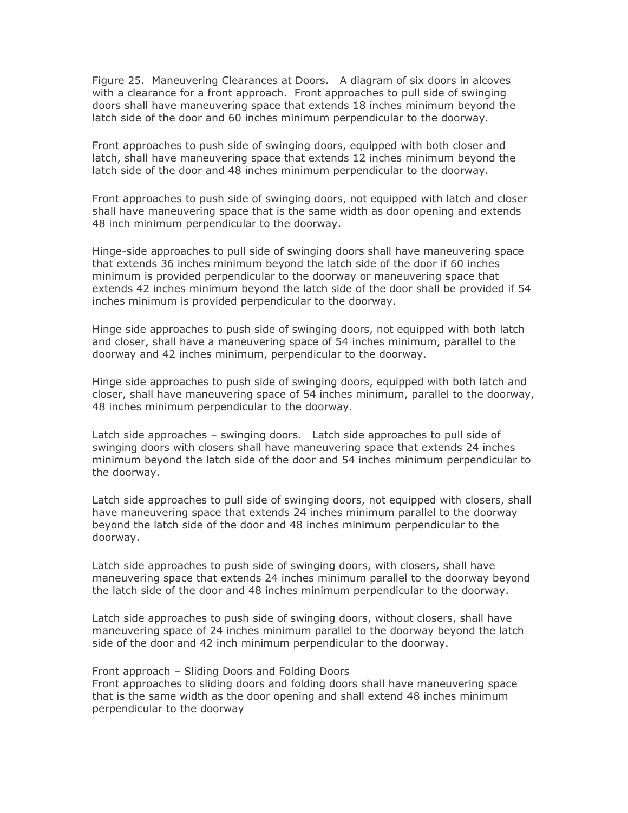Figure 25. Maneuvering Clearances at Doors. A diagram of six doors in alcoves with a clearance for a front approach. Front approaches to pull side of swinging doors shall have maneuvering space that extends 18 inches minimum beyond the latch side of the door and 60 inches minimum perpendicular to the doorway.

Front approaches to push side of swinging doors, equipped with both closer and latch, shall have maneuvering space that extends 12 inches minimum beyond the latch side of the door and 48 inches minimum perpendicular to the doorway.

Front approaches to push side of swinging doors, not equipped with latch and closer shall have maneuvering space that is the same width as door opening and extends 48 inch minimum perpendicular to the doorway.

Hinge-side approaches to pull side of swinging doors shall have maneuvering space that extends 36 inches minimum beyond the latch side of the door if 60 inches minimum is provided perpendicular to the doorway or maneuvering space that extends 42 inches minimum beyond the latch side of the door shall be provided if 54 inches minimum is provided perpendicular to the doorway.

Hinge side approaches to push side of swinging doors, not equipped with both latch and closer, shall have a maneuvering space of 54 inches minimum, parallel to the doorway and 42 inches minimum, perpendicular to the doorway.

Hinge side approaches to push side of swinging doors, equipped with both latch and closer, shall have maneuvering space of 54 inches minimum, parallel to the doorway, 48 inches minimum perpendicular to the doorway.

Latch side approaches – swinging doors. Latch side approaches to pull side of swinging doors with closers shall have maneuvering space that extends 24 inches minimum beyond the latch side of the door and 54 inches minimum perpendicular to the doorway.

Latch side approaches to pull side of swinging doors, not equipped with closers, shall have maneuvering space that extends 24 inches minimum parallel to the doorway beyond the latch side of the door and 48 inches minimum perpendicular to the doorway.

Latch side approaches to push side of swinging doors, with closers, shall have maneuvering space that extends 24 inches minimum parallel to the doorway beyond the latch side of the door and 48 inches minimum perpendicular to the doorway.

Latch side approaches to push side of swinging doors, without closers, shall have maneuvering space of 24 inches minimum parallel to the doorway beyond the latch side of the door and 42 inch minimum perpendicular to the doorway.

# Front approach – Sliding Doors and Folding Doors

Front approaches to sliding doors and folding doors shall have maneuvering space that is the same width as the door opening and shall extend 48 inches minimum perpendicular to the doorway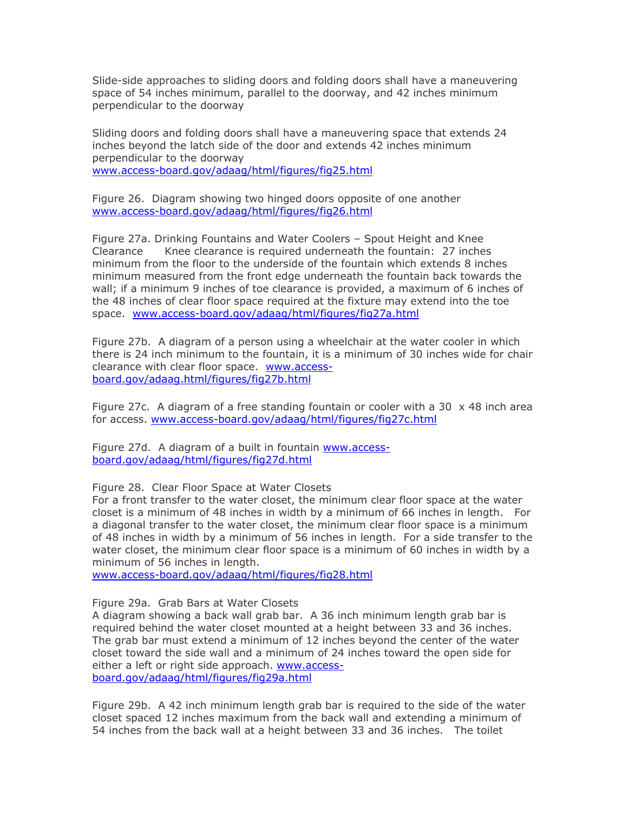Slide-side approaches to sliding doors and folding doors shall have a maneuvering space of 54 inches minimum, parallel to the doorway, and 42 inches minimum perpendicular to the doorway

Sliding doors and folding doors shall have a maneuvering space that extends 24 inches beyond the latch side of the door and extends 42 inches minimum perpendicular to the doorway [www.access-board.gov/adaag/html/figures/fig25.html](http://www.access-board.gov/adaag/html/figures/fig25.html)

Figure 26. Diagram showing two hinged doors opposite of one another [www.access-board.gov/adaag/html/figures/fig26.html](http://www.access-board.gov/adaag/html/figures/fig26.html)

Figure 27a. Drinking Fountains and Water Coolers – Spout Height and Knee Clearance Knee clearance is required underneath the fountain: 27 inches minimum from the floor to the underside of the fountain which extends 8 inches minimum measured from the front edge underneath the fountain back towards the wall; if a minimum 9 inches of toe clearance is provided, a maximum of 6 inches of the 48 inches of clear floor space required at the fixture may extend into the toe space. [www.access-board.gov/adaag/html/figures/fig27a.html](http://www.access-board.gov/adaag/html/figures/fig27a.html) minimum 9 inches of the content is provided in the 6 inches of the 48 inches of the 48 inches of the 48 inches

Figure 27b. A diagram of a person using a wheelchair at the water cooler in which there is 24 inch minimum to the fountain, it is a minimum of 30 inches wide for chair clearance with clear floor space. [www.access](http://www.access-board.gov/adaag.html/figures/fig27b.html)[board.gov/adaag.html/figures/fig27b.html](http://www.access-board.gov/adaag.html/figures/fig27b.html)

Figure 27c. A diagram of a free standing fountain or cooler with a 30  $\times$  48 inch area for access. [www.access-board.gov/adaag/html/figures/fig27c.html](http://www.access-board.gov/adaag/html/figures/fig27c.html)

Figure 27d. A diagram of a built in fountain [www.access](http://www.access-board.gov/adaag/html/figures/fig27d.html)[board.gov/adaag/html/figures/fig27d.html](http://www.access-board.gov/adaag/html/figures/fig27d.html)

### Figure 28. Clear Floor Space at Water Closets

For a front transfer to the water closet, the minimum clear floor space at the water closet is a minimum of 48 inches in width by a minimum of 66 inches in length. For a diagonal transfer to the water closet, the minimum clear floor space is a minimum of 48 inches in width by a minimum of 56 inches in length. For a side transfer to the water closet, the minimum clear floor space is a minimum of 60 inches in width by a minimum of 56 inches in length.

[www.access-board.gov/adaag/html/figures/fig28.html](http://www.access-board.gov/adaag/html/figures/fig28.html)

#### Figure 29a. Grab Bars at Water Closets

A diagram showing a back wall grab bar. A 36 inch minimum length grab bar is required behind the water closet mounted at a height between 33 and 36 inches. The grab bar must extend a minimum of 12 inches beyond the center of the water closet toward the side wall and a minimum of 24 inches toward the open side for either a left or right side approach. [www.access](http://www.access-board.gov/adaag/html/figures/fig29a.html)[board.gov/adaag/html/figures/fig29a.html](http://www.access-board.gov/adaag/html/figures/fig29a.html)

Figure 29b. A 42 inch minimum length grab bar is required to the side of the water closet spaced 12 inches maximum from the back wall and extending a minimum of 54 inches from the back wall at a height between 33 and 36 inches. The toilet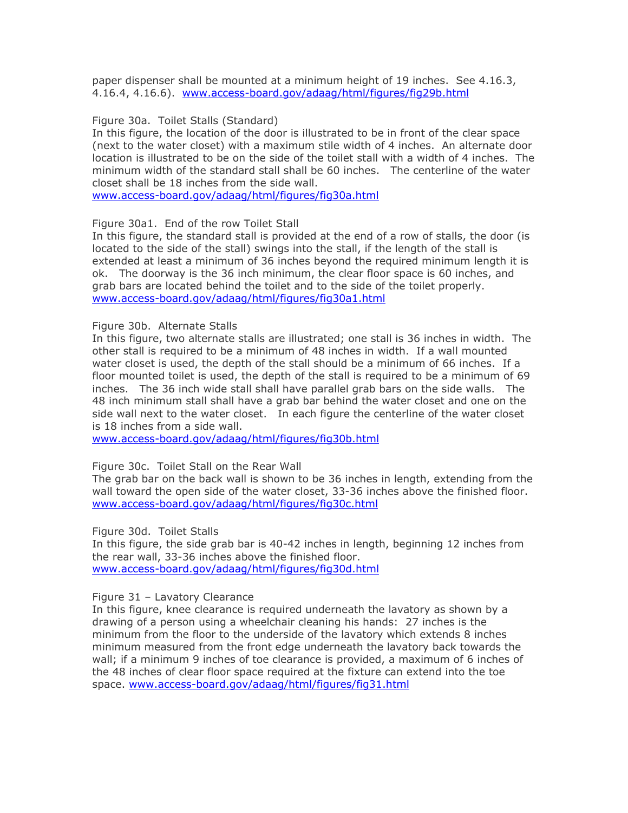paper dispenser shall be mounted at a minimum height of 19 inches. See 4.16.3, 4.16.4, 4.16.6). [www.access-board.gov/adaag/html/figures/fig29b.html](http://www.access-board.gov/adaag/html/figures/fig29b.html)

## Figure 30a. Toilet Stalls (Standard)

In this figure, the location of the door is illustrated to be in front of the clear space (next to the water closet) with a maximum stile width of 4 inches. An alternate door location is illustrated to be on the side of the toilet stall with a width of 4 inches. The minimum width of the standard stall shall be 60 inches. The centerline of the water closet shall be 18 inches from the side wall.

[www.access-board.gov/adaag/html/figures/fig30a.html](http://www.access-board.gov/adaag/html/figures/fig30a.html)

Figure 30a1. End of the row Toilet Stall

In this figure, the standard stall is provided at the end of a row of stalls, the door (is located to the side of the stall) swings into the stall, if the length of the stall is extended at least a minimum of 36 inches beyond the required minimum length it is ok. The doorway is the 36 inch minimum, the clear floor space is 60 inches, and grab bars are located behind the toilet and to the side of the toilet properly. [www.access-board.gov/adaag/html/figures/fig30a1.html](http://www.access-board.gov/adaag/html/figures/fig30a1.html)

### Figure 30b. Alternate Stalls

In this figure, two alternate stalls are illustrated; one stall is 36 inches in width. The other stall is required to be a minimum of 48 inches in width. If a wall mounted water closet is used, the depth of the stall should be a minimum of 66 inches. If a floor mounted toilet is used, the depth of the stall is required to be a minimum of 69 inches. The 36 inch wide stall shall have parallel grab bars on the side walls. The 48 inch minimum stall shall have a grab bar behind the water closet and one on the side wall next to the water closet. In each figure the centerline of the water closet is 18 inches from a side wall.

[www.access-board.gov/adaag/html/figures/fig30b.html](http://www.access-board.gov/adaag/html/figures/fig30b.html)

### Figure 30c. Toilet Stall on the Rear Wall

The grab bar on the back wall is shown to be 36 inches in length, extending from the wall toward the open side of the water closet, 33-36 inches above the finished floor. [www.access-board.gov/adaag/html/figures/fig30c.html](http://www.access-board.gov/adaag/html/figures/fig30c.html)

Figure 30d. Toilet Stalls

In this figure, the side grab bar is 40-42 inches in length, beginning 12 inches from the rear wall, 33-36 inches above the finished floor. [www.access-board.gov/adaag/html/figures/fig30d.html](http://www.access-board.gov/adaag/html/figures/fig30d.html)

### Figure 31 – Lavatory Clearance

In this figure, knee clearance is required underneath the lavatory as shown by a drawing of a person using a wheelchair cleaning his hands: 27 inches is the minimum from the floor to the underside of the lavatory which extends 8 inches minimum measured from the front edge underneath the lavatory back towards the wall; if a minimum 9 inches of toe clearance is provided, a maximum of 6 inches of the 48 inches of clear floor space required at the fixture can extend into the toe space. [www.access-board.gov/adaag/html/figures/fig31.html](http://www.access-board.gov/adaag/html/figures/fig31.html)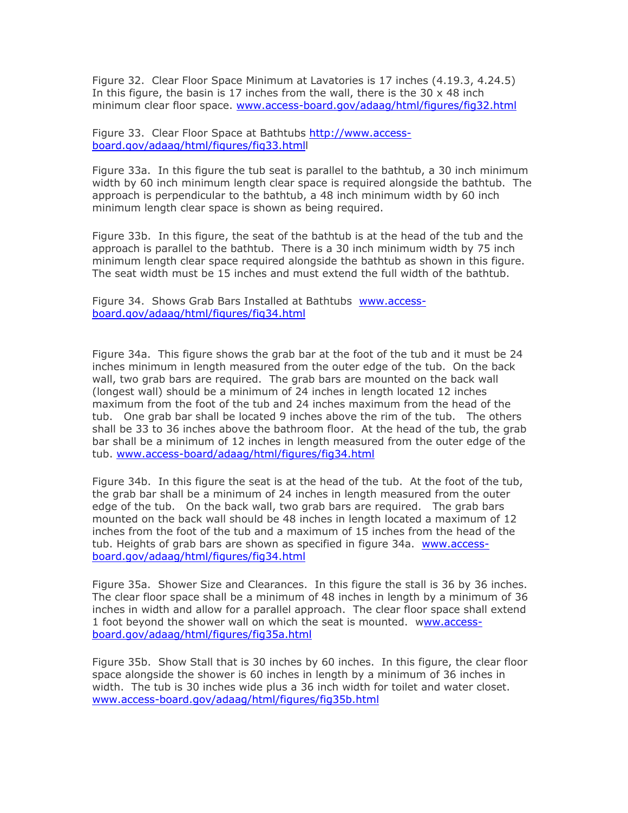Figure 32. Clear Floor Space Minimum at Lavatories is 17 inches (4.19.3, 4.24.5) In this figure, the basin is 17 inches from the wall, there is the 30  $\times$  48 inch minimum clear floor space. [www.access-board.gov/adaag/html/figures/fig32.html](http://www.access-board.gov/adaag/html/figures/fig32.html)

Figure 33. Clear Floor Space at Bathtubs [http://www.access](http://www.access-board.gov/adaag/html/figures/fig33.htmll)[board.gov/adaag/html/figures/fig33.htmll](http://www.access-board.gov/adaag/html/figures/fig33.htmll) 

Figure 33a. In this figure the tub seat is parallel to the bathtub, a 30 inch minimum width by 60 inch minimum length clear space is required alongside the bathtub. The approach is perpendicular to the bathtub, a 48 inch minimum width by 60 inch minimum length clear space is shown as being required.

Figure 33b. In this figure, the seat of the bathtub is at the head of the tub and the approach is parallel to the bathtub. There is a 30 inch minimum width by 75 inch minimum length clear space required alongside the bathtub as shown in this figure. The seat width must be 15 inches and must extend the full width of the bathtub.

Figure 34. Shows Grab Bars Installed at Bathtubs [www.access](http://www.access-board.gov/adaag/html/figures/fig34.html)[board.gov/adaag/html/figures/fig34.html](http://www.access-board.gov/adaag/html/figures/fig34.html)

Figure 34a. This figure shows the grab bar at the foot of the tub and it must be 24 inches minimum in length measured from the outer edge of the tub. On the back wall, two grab bars are required. The grab bars are mounted on the back wall the form of the foot of the foot of the foot of the tub and the tub and the tub. One grad of the tube. (longest wall) should be a minimum of 24 inches in length located 12 inches  $\frac{1}{2}$  maximum from the foot of the tub and 24 inches maximum from the head of the tub. One grab bar shall be located 9 inches above the rim of the tub. The others shall be 33 to 36 inches above the bathroom floor. At the head of the tub, the grab bar shall be a minimum of 12 inches in length measured from the outer edge of the tub. [www.access-board/adaag/html/figures/fig34.html](http://www.access-board/adaag/html/figures/fig34.html) officies toot of the tub and 24 inches maximum nomitime nead of t

Figure 34b. In this figure the seat is at the head of the tub. At the foot of the tub, the grab bar shall be a minimum of 24 inches in length measured from the outer edge of the tub. On the back wall, two grab bars are required. The grab bars mounted on the back wall should be 48 inches in length located a maximum of 12 inches from the foot of the tub and a maximum of 15 inches from the head of the tub. Heights of grab bars are shown as specified in figure 34a. [www.access](http://www.access-board.gov/adaag/html/figures/fig34.html)[board.gov/adaag/html/figures/fig34.html](http://www.access-board.gov/adaag/html/figures/fig34.html) inches in length located a maximum of 12 inches from the foot of the tub and a maximum of 15 inches from the head of the tub. Heights

Figure 35a. Shower Size and Clearances. In this figure the stall is 36 by 36 inches. The clear floor space shall be a minimum of 48 inches in length by a minimum of 36 inches in width and allow for a parallel approach. The clear floor space shall extend 1 foot beyond the shower wall on which the seat is mounted. [www.access](http://www.access-board.gov/adaag/html/figures/fig35a.html)[board.gov/adaag/html/figures/fig35a.html](http://www.access-board.gov/adaag/html/figures/fig35a.html) minimum of 48 inches in length by a minimum of 36 inches in width and allow

Figure 35b. Show Stall that is 30 inches by 60 inches. In this figure, the clear floor space alongside the shower is 60 inches in length by a minimum of 36 inches in width. The tub is 30 inches wide plus a 36 inch width for toilet and water closet. [www.access-board.gov/adaag/html/figures/fig35b.html](http://www.access-board.gov/adaag/html/figures/fig35b.html)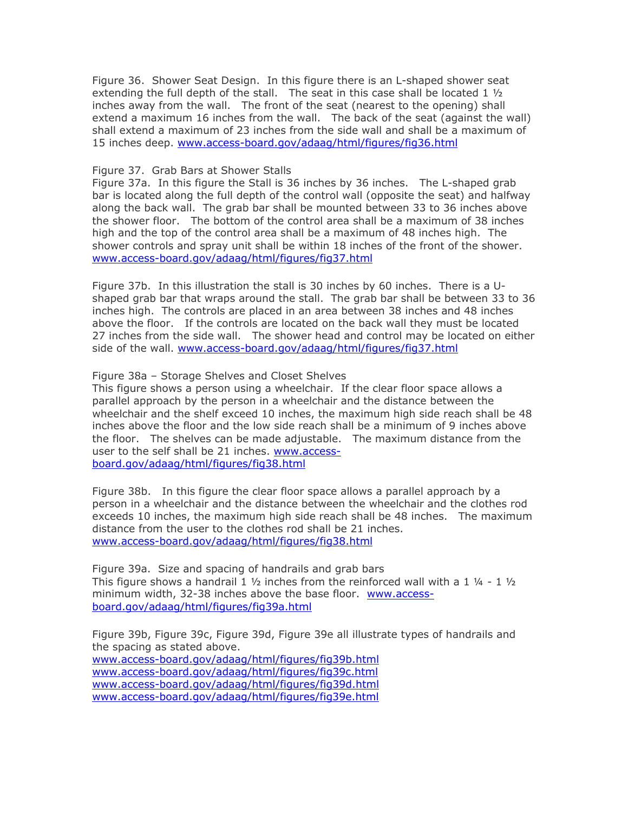Figure 36. Shower Seat Design. In this figure there is an L-shaped shower seat extending the full depth of the stall. The seat in this case shall be located  $1\frac{1}{2}$ inches away from the wall. The front of the seat (nearest to the opening) shall extend a maximum 16 inches from the wall. The back of the seat (against the wall) shall extend a maximum of 23 inches from the side wall and shall be a maximum of 15 inches deep. [www.access-board.gov/adaag/html/figures/fig36.html](http://www.access-board.gov/adaag/html/figures/fig36.html)  $\frac{1}{\sqrt{2}}$  increase in this case shall be located  $\pm$   $\frac{1}{\sqrt{2}}$ 

## Figure 37. Grab Bars at Shower Stalls

Figure 37a. In this figure the Stall is 36 inches by 36 inches. The L-shaped grab bar is located along the full depth of the control wall (opposite the seat) and halfway along the back wall. The grab bar shall be mounted between 33 to 36 inches above the shower floor. The bottom of the control area shall be a maximum of 38 inches high and the top of the control area shall be a maximum of 48 inches high. The shower controls and spray unit shall be within 18 inches of the front of the shower. [www.access-board.gov/adaag/html/figures/fig37.html](http://www.access-board.gov/adaag/html/figures/fig37.html)

Figure 37b. In this illustration the stall is 30 inches by 60 inches. There is a Ushaped grab bar that wraps around the stall. The grab bar shall be between 33 to 36 inches high. The controls are placed in an area between 38 inches and 48 inches above the floor. If the controls are located on the back wall they must be located 27 inches from the side wall. The shower head and control may be located on either side of the wall. [www.access-board.gov/adaag/html/figures/fig37.html](http://www.access-board.gov/adaag/html/figures/fig37.html) be between 33 to 36 inches high. The controls are placed in an area between 38 inches and 48 inches above the floor. If the

# Figure 38a – Storage Shelves and Closet Shelves

This figure shows a person using a wheelchair. If the clear floor space allows a parallel approach by the person in a wheelchair and the distance between the wheelchair and the shelf exceed 10 inches, the maximum high side reach shall be 48 inches above the floor and the low side reach shall be a minimum of 9 inches above the floor. The shelves can be made adjustable. The maximum distance from the user to the self shall be 21 inches. [www.access](http://www.access-board.gov/adaag/html/figures/fig38.html)[board.gov/adaag/html/figures/fig38.html](http://www.access-board.gov/adaag/html/figures/fig38.html)

Figure 38b. In this figure the clear floor space allows a parallel approach by a person in a wheelchair and the distance between the wheelchair and the clothes rod exceeds 10 inches, the maximum high side reach shall be 48 inches. The maximum distance from the user to the clothes rod shall be 21 inches. [www.access-board.gov/adaag/html/figures/fig38.html](http://www.access-board.gov/adaag/html/figures/fig38.html)

Figure 39a. Size and spacing of handrails and grab bars This figure shows a handrail 1  $\frac{1}{2}$  inches from the reinforced wall with a 1  $\frac{1}{4}$  - 1  $\frac{1}{2}$ minimum width, 32-38 inches above the base floor. [www.access](http://www.access-board.gov/adaag/html/figures/fig39a.html)[board.gov/adaag/html/figures/fig39a.html](http://www.access-board.gov/adaag/html/figures/fig39a.html)

Figure 39b, Figure 39c, Figure 39d, Figure 39e all illustrate types of handrails and the spacing as stated above.

[www.access-board.gov/adaag/html/figures/fig39b.html](http://www.access-board.gov/adaag/html/figures/fig39b.html) [www.access-board.gov/adaag/html/figures/fig39c.html](http://www.access-board.gov/adaag/html/figures/fig39c.html) [www.access-board.gov/adaag/html/figures/fig39d.html](http://www.access-board.gov/adaag/html/figures/fig39d.html) [www.access-board.gov/adaag/html/figures/fig39e.html](http://www.access-board.gov/adaag/html/figures/fig39e.html)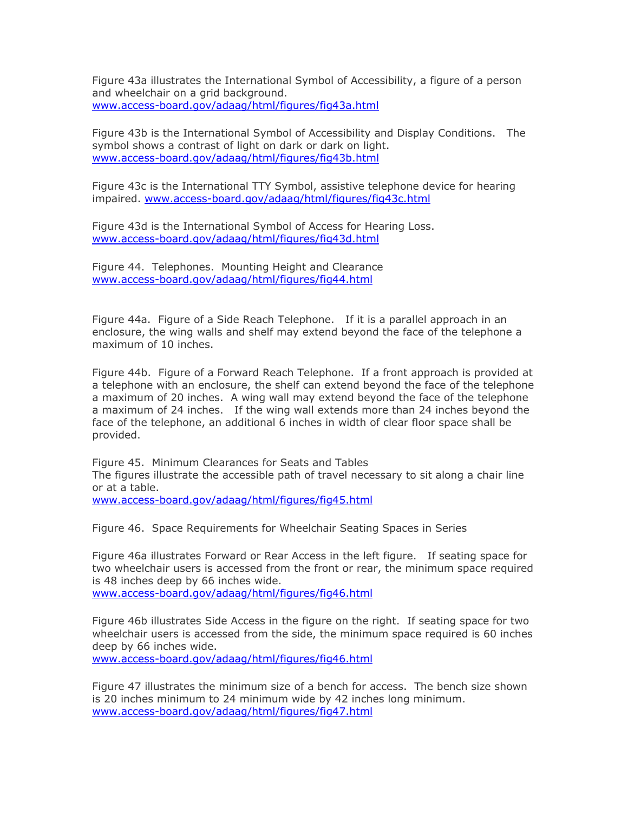Figure 43a illustrates the International Symbol of Accessibility, a figure of a person and wheelchair on a grid background. [www.access-board.gov/adaag/html/figures/fig43a.html](http://www.access-board.gov/adaag/html/figures/fig43a.html)

Figure 43b is the International Symbol of Accessibility and Display Conditions. The symbol shows a contrast of light on dark or dark on light. [www.access-board.gov/adaag/html/figures/fig43b.html](http://www.access-board.gov/adaag/html/figures/fig43b.html)

Figure 43c is the International TTY Symbol, assistive telephone device for hearing impaired. [www.access-board.gov/adaag/html/figures/fig43c.html](http://www.access-board.gov/adaag/html/figures/fig43c.html)

Figure 43d is the International Symbol of Access for Hearing Loss. [www.access-board.gov/adaag/html/figures/fig43d.html](http://www.access-board.gov/adaag/html/figures/fig43d.html)

Figure 44. Telephones. Mounting Height and Clearance [www.access-board.gov/adaag/html/figures/fig44.html](http://www.access-board.gov/adaag/html/figures/fig44.html)

Figure 44a. Figure of a Side Reach Telephone. If it is a parallel approach in an enclosure, the wing walls and shelf may extend beyond the face of the telephone a maximum of 10 inches.

Figure 44b. Figure of a Forward Reach Telephone. If a front approach is provided at a telephone with an enclosure, the shelf can extend beyond the face of the telephone a maximum of 20 inches. A wing wall may extend beyond the face of the telephone a maximum of 24 inches. If the wing wall extends more than 24 inches beyond the face of the telephone, an additional 6 inches in width of clear floor space shall be provided.

Figure 45. Minimum Clearances for Seats and Tables The figures illustrate the accessible path of travel necessary to sit along a chair line or at a table.

[www.access-board.gov/adaag/html/figures/fig45.html](http://www.access-board.gov/adaag/html/figures/fig45.html)

Figure 46. Space Requirements for Wheelchair Seating Spaces in Series

Figure 46a illustrates Forward or Rear Access in the left figure. If seating space for two wheelchair users is accessed from the front or rear, the minimum space required is 48 inches deep by 66 inches wide.

[www.access-board.gov/adaag/html/figures/fig46.html](http://www.access-board.gov/adaag/html/figures/fig46.html)

Figure 46b illustrates Side Access in the figure on the right. If seating space for two wheelchair users is accessed from the side, the minimum space required is 60 inches deep by 66 inches wide. [www.access-board.gov/adaag/html/figures/fig46.html](http://www.access-board.gov/adaag/html/figures/fig46.html)

Figure 47 illustrates the minimum size of a bench for access. The bench size shown is 20 inches minimum to 24 minimum wide by 42 inches long minimum. [www.access-board.gov/adaag/html/figures/fig47.html](http://www.access-board.gov/adaag/html/figures/fig47.html)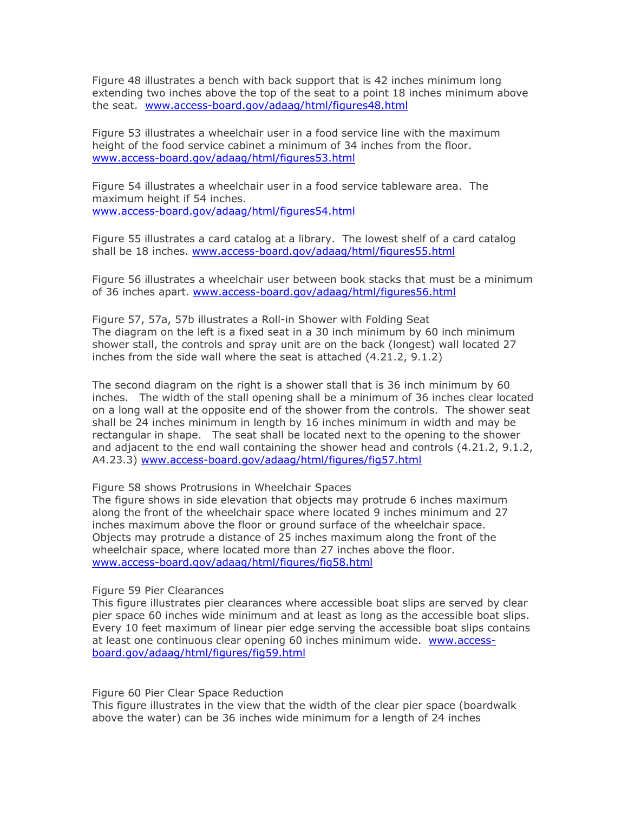Figure 48 illustrates a bench with back support that is 42 inches minimum long if you're made acces a bench with back support that is 42 inches minimum long<br>extending two inches above the top of the seat to a point 18 inches minimum above the seat. [www.access-board.gov/adaag/html/figures48.html](http://www.access-board.gov/adaag/html/figures48.html) wo inches above.

Figure 53 illustrates a wheelchair user in a food service line with the maximum height of the food service cabinet a minimum of 34 inches from the floor. [www.access-board.gov/adaag/html/figures53.html](http://www.access-board.gov/adaag/html/figures53.html)

Figure 54 illustrates a wheelchair user in a food service tableware area. The maximum height if 54 inches. [www.access-board.gov/adaag/html/figures54.html](http://www.access-board.gov/adaag/html/figures54.html)

Figure 55 illustrates a card catalog at a library. The lowest shelf of a card catalog shall be 18 inches. [www.access-board.gov/adaag/html/figures55.html](http://www.access-board.gov/adaag/html/figures55.html)

Figure 56 illustrates a wheelchair user between book stacks that must be a minimum of 36 inches apart. [www.access-board.gov/adaag/html/figures56.html](http://www.access-board.gov/adaag/html/figures56.html)

Figure 57, 57a, 57b illustrates a Roll-in Shower with Folding Seat The diagram on the left is a fixed seat in a 30 inch minimum by 60 inch minimum shower stall, the controls and spray unit are on the back (longest) wall located 27 inches from the side wall where the seat is attached (4.21.2, 9.1.2)

The second diagram on the right is a shower stall that is 36 inch minimum by 60 inches. The width of the stall opening shall be a minimum of 36 inches clear located on a long wall at the opposite end of the shower from the controls. The shower seat shall be 24 inches minimum in length by 16 inches minimum in width and may be rectangular in shape. The seat shall be located next to the opening to the shower and adjacent to the end wall containing the shower head and controls (4.21.2, 9.1.2, A4.23.3) [www.access-board.gov/adaag/html/figures/fig57.html](http://www.access-board.gov/adaag/html/figures/fig57.html)

Figure 58 shows Protrusions in Wheelchair Spaces

The figure shows in side elevation that objects may protrude 6 inches maximum along the front of the wheelchair space where located 9 inches minimum and 27 inches maximum above the floor or ground surface of the wheelchair space. Objects may protrude a distance of 25 inches maximum along the front of the wheelchair space, where located more than 27 inches above the floor. [www.access-board.gov/adaag/html/figures/fig58.html](http://www.access-board.gov/adaag/html/figures/fig58.html)

Figure 59 Pier Clearances

This figure illustrates pier clearances where accessible boat slips are served by clear pier space 60 inches wide minimum and at least as long as the accessible boat slips. Every 10 feet maximum of linear pier edge serving the accessible boat slips contains at least one continuous clear opening 60 inches minimum wide. [www.access](http://www.access-board.gov/adaag/html/figures/fig59.html)[board.gov/adaag/html/figures/fig59.html](http://www.access-board.gov/adaag/html/figures/fig59.html)

Figure 60 Pier Clear Space Reduction

This figure illustrates in the view that the width of the clear pier space (boardwalk above the water) can be 36 inches wide minimum for a length of 24 inches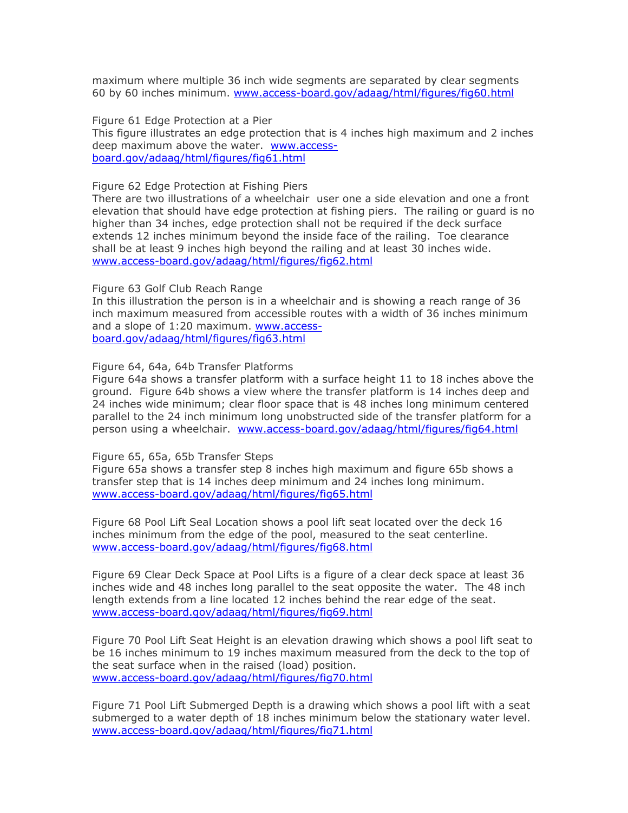maximum where multiple 36 inch wide segments are separated by clear segments 60 by 60 inches minimum. [www.access-board.gov/adaag/html/figures/fig60.html](http://www.access-board.gov/adaag/html/figures/fig60.html)

Figure 61 Edge Protection at a Pier This figure illustrates an edge protection that is 4 inches high maximum and 2 inches deep maximum above the water. [www.access](http://www.access-board.gov/adaag/html/figures/fig61.html)[board.gov/adaag/html/figures/fig61.html](http://www.access-board.gov/adaag/html/figures/fig61.html)

Figure 62 Edge Protection at Fishing Piers

There are two illustrations of a wheelchair user one a side elevation and one a front elevation that should have edge protection at fishing piers. The railing or guard is no higher than 34 inches, edge protection shall not be required if the deck surface extends 12 inches minimum beyond the inside face of the railing. Toe clearance shall be at least 9 inches high beyond the railing and at least 30 inches wide. [www.access-board.gov/adaag/html/figures/fig62.html](http://www.access-board.gov/adaag/html/figures/fig62.html)

Figure 63 Golf Club Reach Range

In this illustration the person is in a wheelchair and is showing a reach range of 36 inch maximum measured from accessible routes with a width of 36 inches minimum and a slope of 1:20 maximum. [www.access](http://www.access-board.gov/adaag/html/figures/fig63.html)[board.gov/adaag/html/figures/fig63.html](http://www.access-board.gov/adaag/html/figures/fig63.html)

Figure 64, 64a, 64b Transfer Platforms

Figure 64a shows a transfer platform with a surface height 11 to 18 inches above the ground. Figure 64b shows a view where the transfer platform is 14 inches deep and 24 inches wide minimum; clear floor space that is 48 inches long minimum centered parallel to the 24 inch minimum long unobstructed side of the transfer platform for a person using a wheelchair. [www.access-board.gov/adaag/html/figures/fig64.html](http://www.access-board.gov/adaag/html/figures/fig64.html)

Figure 65, 65a, 65b Transfer Steps

Figure 65a shows a transfer step 8 inches high maximum and figure 65b shows a transfer step that is 14 inches deep minimum and 24 inches long minimum. [www.access-board.gov/adaag/html/figures/fig65.html](http://www.access-board.gov/adaag/html/figures/fig65.html)

Figure 68 Pool Lift Seal Location shows a pool lift seat located over the deck 16 inches minimum from the edge of the pool, measured to the seat centerline. [www.access-board.gov/adaag/html/figures/fig68.html](http://www.access-board.gov/adaag/html/figures/fig68.html)

Figure 69 Clear Deck Space at Pool Lifts is a figure of a clear deck space at least 36 inches wide and 48 inches long parallel to the seat opposite the water. The 48 inch length extends from a line located 12 inches behind the rear edge of the seat. [www.access-board.gov/adaag/html/figures/fig69.html](http://www.access-board.gov/adaag/html/figures/fig69.html)

Figure 70 Pool Lift Seat Height is an elevation drawing which shows a pool lift seat to be 16 inches minimum to 19 inches maximum measured from the deck to the top of the seat surface when in the raised (load) position. [www.access-board.gov/adaag/html/figures/fig70.html](http://www.access-board.gov/adaag/html/figures/fig70.html)

Figure 71 Pool Lift Submerged Depth is a drawing which shows a pool lift with a seat submerged to a water depth of 18 inches minimum below the stationary water level. [www.access-board.gov/adaag/html/figures/fig71.html](http://www.access-board.gov/adaag/html/figures/fig71.html)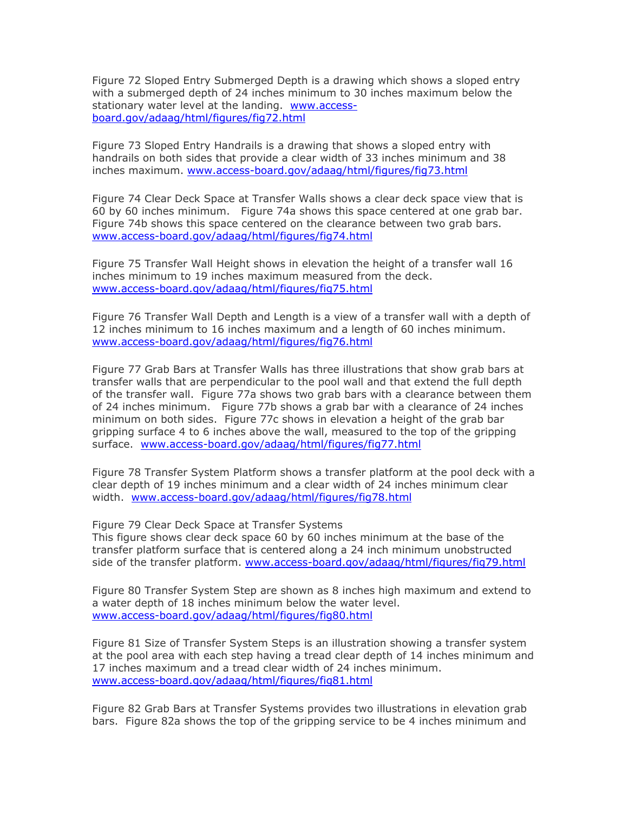Figure 72 Sloped Entry Submerged Depth is a drawing which shows a sloped entry with a submerged depth of 24 inches minimum to 30 inches maximum below the stationary water level at the landing. **[www.access](http://www.access-board.gov/adaag/html/figures/fig72.html)**[board.gov/adaag/html/figures/fig72.html](http://www.access-board.gov/adaag/html/figures/fig72.html) inches minimum to 30 inches maximum below the stationary water level at

Figure 73 Sloped Entry Handrails is a drawing that shows a sloped entry with handrails on both sides that provide a clear width of 33 inches minimum and 38 inches maximum. [www.access-board.gov/adaag/html/figures/fig73.html](http://www.access-board.gov/adaag/html/figures/fig73.html) width of 33 inches minimum and 38 inches maximum.

Figure 74 Clear Deck Space at Transfer Walls shows a clear deck space view that is 60 by 60 inches minimum. Figure 74a shows this space centered at one grab bar. Figure 74b shows this space centered on the clearance between two grab bars. [www.access-board.gov/adaag/html/figures/fig74.html](http://www.access-board.gov/adaag/html/figures/fig74.html)

Figure 75 Transfer Wall Height shows in elevation the height of a transfer wall 16 inches minimum to 19 inches maximum measured from the deck. [www.access-board.gov/adaag/html/figures/fig75.html](http://www.access-board.gov/adaag/html/figures/fig75.html)

Figure 76 Transfer Wall Depth and Length is a view of a transfer wall with a depth of 12 inches minimum to 16 inches maximum and a length of 60 inches minimum. [www.access-board.gov/adaag/html/figures/fig76.html](http://www.access-board.gov/adaag/html/figures/fig76.html)

Figure 77 Grab Bars at Transfer Walls has three illustrations that show grab bars at transfer walls that are perpendicular to the pool wall and that extend the full depth of the transfer wall. Figure 77a shows two grab bars with a clearance between them of 24 inches minimum. Figure 77b shows a grab bar with a clearance of 24 inches minimum on both sides. Figure 77c shows in elevation a height of the grab bar gripping surface 4 to 6 inches above the wall, measured to the top of the gripping surface. [www.access-board.gov/adaag/html/figures/fig77.html](http://www.access-board.gov/adaag/html/figures/fig77.html)

Figure 78 Transfer System Platform shows a transfer platform at the pool deck with a clear depth of 19 inches minimum and a clear width of 24 inches minimum clear width. [www.access-board.gov/adaag/html/figures/fig78.html](http://www.access-board.gov/adaag/html/figures/fig78.html)

Figure 79 Clear Deck Space at Transfer Systems This figure shows clear deck space 60 by 60 inches minimum at the base of the

transfer platform surface that is centered along a 24 inch minimum unobstructed side of the transfer platform. [www.access-board.gov/adaag/html/figures/fig79.html](http://www.access-board.gov/adaag/html/figures/fig79.html)

Figure 80 Transfer System Step are shown as 8 inches high maximum and extend to a water depth of 18 inches minimum below the water level. [www.access-board.gov/adaag/html/figures/fig80.html](http://www.access-board.gov/adaag/html/figures/fig80.html)

Figure 81 Size of Transfer System Steps is an illustration showing a transfer system at the pool area with each step having a tread clear depth of 14 inches minimum and 17 inches maximum and a tread clear width of 24 inches minimum. [www.access-board.gov/adaag/html/figures/fig81.html](http://www.access-board.gov/adaag/html/figures/fig81.html)

Figure 82 Grab Bars at Transfer Systems provides two illustrations in elevation grab bars. Figure 82a shows the top of the gripping service to be 4 inches minimum and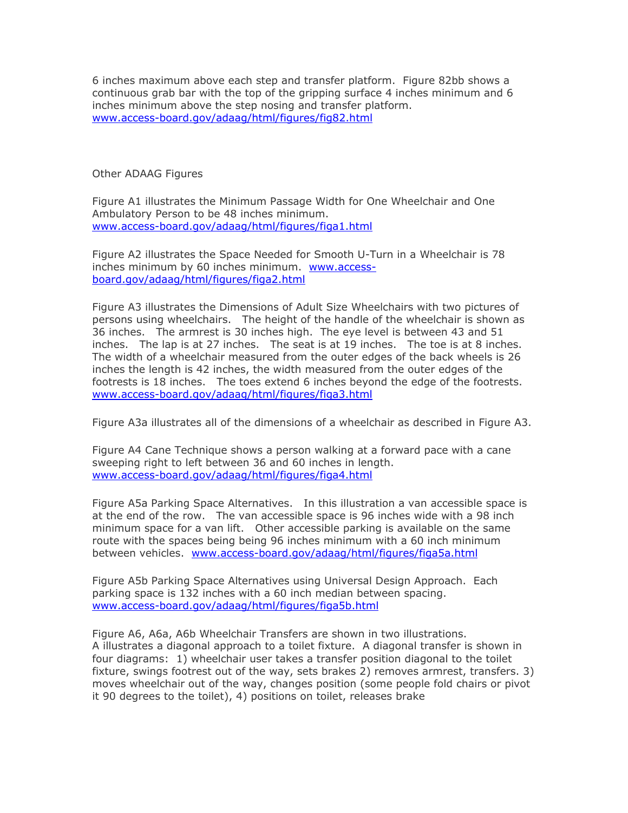6 inches maximum above each step and transfer platform. Figure 82bb shows a continuous grab bar with the top of the gripping surface 4 inches minimum and 6 inches minimum above the step nosing and transfer platform. [www.access-board.gov/adaag/html/figures/fig82.html](http://www.access-board.gov/adaag/html/figures/fig82.html)

Other ADAAG Figures

Figure A1 illustrates the Minimum Passage Width for One Wheelchair and One Ambulatory Person to be 48 inches minimum. [www.access-board.gov/adaag/html/figures/figa1.html](http://www.access-board.gov/adaag/html/figures/figa1.html)

Figure A2 illustrates the Space Needed for Smooth U-Turn in a Wheelchair is 78 inches minimum by 60 inches minimum. [www.access](http://www.access-board.gov/adaag/html/figures/figa2.html)[board.gov/adaag/html/figures/figa2.html](http://www.access-board.gov/adaag/html/figures/figa2.html)

Figure A3 illustrates the Dimensions of Adult Size Wheelchairs with two pictures of persons using wheelchairs. The height of the handle of the wheelchair is shown as 36 inches. The armrest is 30 inches high. The eye level is between 43 and 51 inches. The lap is at 27 inches. The seat is at 19 inches. The toe is at 8 inches. The width of a wheelchair measured from the outer edges of the back wheels is 26 inches the length is 42 inches, the width measured from the outer edges of the footrests is 18 inches. The toes extend 6 inches beyond the edge of the footrests. [www.access-board.gov/adaag/html/figures/figa3.html](http://www.access-board.gov/adaag/html/figures/figa3.html)

Figure A3a illustrates all of the dimensions of a wheelchair as described in Figure A3.

Figure A4 Cane Technique shows a person walking at a forward pace with a cane sweeping right to left between 36 and 60 inches in length. [www.access-board.gov/adaag/html/figures/figa4.html](http://www.access-board.gov/adaag/html/figures/figa4.html)

Figure A5a Parking Space Alternatives. In this illustration a van accessible space is at the end of the row. The van accessible space is 96 inches wide with a 98 inch minimum space for a van lift. Other accessible parking is available on the same route with the spaces being being 96 inches minimum with a 60 inch minimum between vehicles. [www.access-board.gov/adaag/html/figures/figa5a.html](http://www.access-board.gov/adaag/html/figures/figa5a.html) OR SPACE IS 30 INCHES WILL IS AVILLE A SO INCH

Figure A5b Parking Space Alternatives using Universal Design Approach. Each parking space is 132 inches with a 60 inch median between spacing. [www.access-board.gov/adaag/html/figures/figa5b.html](http://www.access-board.gov/adaag/html/figures/figa5b.html)

Figure A6, A6a, A6b Wheelchair Transfers are shown in two illustrations. A illustrates a diagonal approach to a toilet fixture. A diagonal transfer is shown in four diagrams: 1) wheelchair user takes a transfer position diagonal to the toilet fixture, swings footrest out of the way, sets brakes 2) removes armrest, transfers. 3) moves wheelchair out of the way, changes position (some people fold chairs or pivot it 90 degrees to the toilet), 4) positions on toilet, releases brake